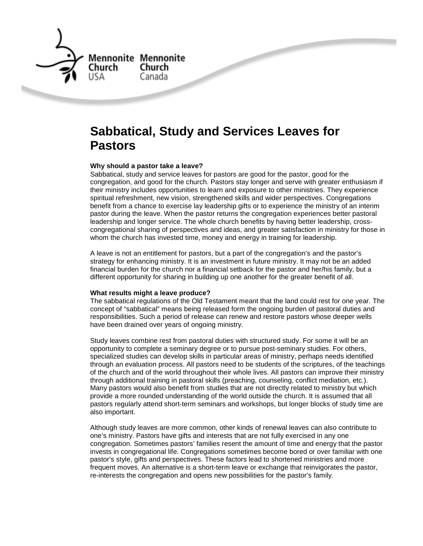

# **Sabbatical, Study and Services Leaves for Pastors**

# **Why should a pastor take a leave?**

Sabbatical, study and service leaves for pastors are good for the pastor, good for the congregation, and good for the church. Pastors stay longer and serve with greater enthusiasm if their ministry includes opportunities to learn and exposure to other ministries. They experience spiritual refreshment, new vision, strengthened skills and wider perspectives. Congregations benefit from a chance to exercise lay leadership gifts or to experience the ministry of an interim pastor during the leave. When the pastor returns the congregation experiences better pastoral leadership and longer service. The whole church benefits by having better leadership, crosscongregational sharing of perspectives and ideas, and greater satisfaction in ministry for those in whom the church has invested time, money and energy in training for leadership.

A leave is not an entitlement for pastors, but a part of the congregation's and the pastor's strategy for enhancing ministry. It is an investment in future ministry. It may not be an added financial burden for the church nor a financial setback for the pastor and her/his family, but a different opportunity for sharing in building up one another for the greater benefit of all.

# **What results might a leave produce?**

The sabbatical regulations of the Old Testament meant that the land could rest for one year. The concept of "sabbatical" means being released form the ongoing burden of pastoral duties and responsibilities. Such a period of release can renew and restore pastors whose deeper wells have been drained over years of ongoing ministry.

Study leaves combine rest from pastoral duties with structured study. For some it will be an opportunity to complete a seminary degree or to pursue post-seminary studies. For others, specialized studies can develop skills in particular areas of ministry, perhaps needs identified through an evaluation process. All pastors need to be students of the scriptures, of the teachings of the church and of the world throughout their whole lives. All pastors can improve their ministry through additional training in pastoral skills (preaching, counseling, conflict mediation, etc.). Many pastors would also benefit from studies that are not directly related to ministry but which provide a more rounded understanding of the world outside the church. It is assumed that all pastors regularly attend short-term seminars and workshops, but longer blocks of study time are also important.

Although study leaves are more common, other kinds of renewal leaves can also contribute to one's ministry. Pastors have gifts and interests that are not fully exercised in any one congregation. Sometimes pastors' families resent the amount of time and energy that the pastor invests in congregational life. Congregations sometimes become bored or over familiar with one pastor's style, gifts and perspectives. These factors lead to shortened ministries and more frequent moves. An alternative is a short-term leave or exchange that reinvigorates the pastor, re-interests the congregation and opens new possibilities for the pastor's family.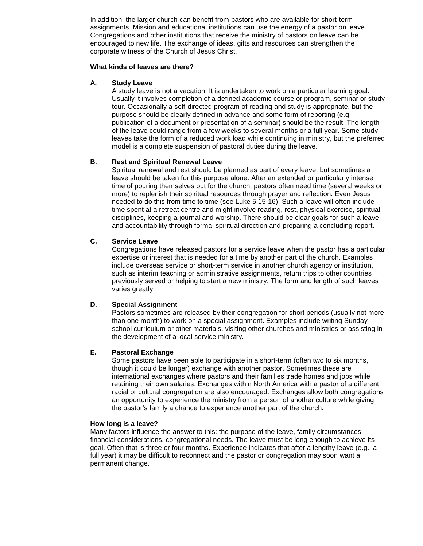In addition, the larger church can benefit from pastors who are available for short-term assignments. Mission and educational institutions can use the energy of a pastor on leave. Congregations and other institutions that receive the ministry of pastors on leave can be encouraged to new life. The exchange of ideas, gifts and resources can strengthen the corporate witness of the Church of Jesus Christ.

### **What kinds of leaves are there?**

# **A. Study Leave**

A study leave is not a vacation. It is undertaken to work on a particular learning goal. Usually it involves completion of a defined academic course or program, seminar or study tour. Occasionally a self-directed program of reading and study is appropriate, but the purpose should be clearly defined in advance and some form of reporting (e.g., publication of a document or presentation of a seminar) should be the result. The length of the leave could range from a few weeks to several months or a full year. Some study leaves take the form of a reduced work load while continuing in ministry, but the preferred model is a complete suspension of pastoral duties during the leave.

# **B. Rest and Spiritual Renewal Leave**

Spiritual renewal and rest should be planned as part of every leave, but sometimes a leave should be taken for this purpose alone. After an extended or particularly intense time of pouring themselves out for the church, pastors often need time (several weeks or more) to replenish their spiritual resources through prayer and reflection. Even Jesus needed to do this from time to time (see Luke 5:15-16). Such a leave will often include time spent at a retreat centre and might involve reading, rest, physical exercise, spiritual disciplines, keeping a journal and worship. There should be clear goals for such a leave, and accountability through formal spiritual direction and preparing a concluding report.

# **C. Service Leave**

Congregations have released pastors for a service leave when the pastor has a particular expertise or interest that is needed for a time by another part of the church. Examples include overseas service or short-term service in another church agency or institution, such as interim teaching or administrative assignments, return trips to other countries previously served or helping to start a new ministry. The form and length of such leaves varies greatly.

# **D. Special Assignment**

Pastors sometimes are released by their congregation for short periods (usually not more than one month) to work on a special assignment. Examples include writing Sunday school curriculum or other materials, visiting other churches and ministries or assisting in the development of a local service ministry.

# **E. Pastoral Exchange**

Some pastors have been able to participate in a short-term (often two to six months, though it could be longer) exchange with another pastor. Sometimes these are international exchanges where pastors and their families trade homes and jobs while retaining their own salaries. Exchanges within North America with a pastor of a different racial or cultural congregation are also encouraged. Exchanges allow both congregations an opportunity to experience the ministry from a person of another culture while giving the pastor's family a chance to experience another part of the church.

# **How long is a leave?**

Many factors influence the answer to this: the purpose of the leave, family circumstances, financial considerations, congregational needs. The leave must be long enough to achieve its goal. Often that is three or four months. Experience indicates that after a lengthy leave (e.g., a full year) it may be difficult to reconnect and the pastor or congregation may soon want a permanent change.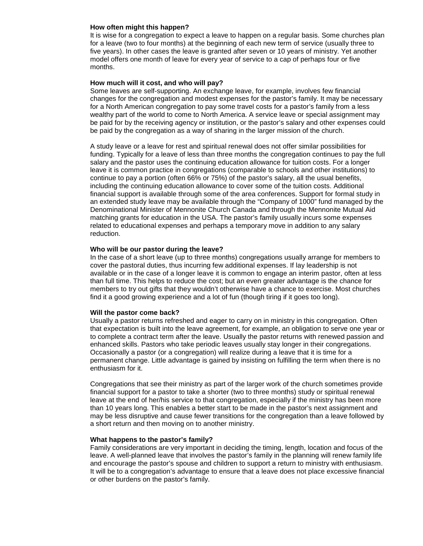#### **How often might this happen?**

It is wise for a congregation to expect a leave to happen on a regular basis. Some churches plan for a leave (two to four months) at the beginning of each new term of service (usually three to five years). In other cases the leave is granted after seven or 10 years of ministry. Yet another model offers one month of leave for every year of service to a cap of perhaps four or five months.

#### **How much will it cost, and who will pay?**

Some leaves are self-supporting. An exchange leave, for example, involves few financial changes for the congregation and modest expenses for the pastor's family. It may be necessary for a North American congregation to pay some travel costs for a pastor's family from a less wealthy part of the world to come to North America. A service leave or special assignment may be paid for by the receiving agency or institution, or the pastor's salary and other expenses could be paid by the congregation as a way of sharing in the larger mission of the church.

A study leave or a leave for rest and spiritual renewal does not offer similar possibilities for funding. Typically for a leave of less than three months the congregation continues to pay the full salary and the pastor uses the continuing education allowance for tuition costs. For a longer leave it is common practice in congregations (comparable to schools and other institutions) to continue to pay a portion (often 66% or 75%) of the pastor's salary, all the usual benefits, including the continuing education allowance to cover some of the tuition costs. Additional financial support is available through some of the area conferences. Support for formal study in an extended study leave may be available through the "Company of 1000" fund managed by the Denominational Minister of Mennonite Church Canada and through the Mennonite Mutual Aid matching grants for education in the USA. The pastor's family usually incurs some expenses related to educational expenses and perhaps a temporary move in addition to any salary reduction.

#### **Who will be our pastor during the leave?**

In the case of a short leave (up to three months) congregations usually arrange for members to cover the pastoral duties, thus incurring few additional expenses. If lay leadership is not available or in the case of a longer leave it is common to engage an interim pastor, often at less than full time. This helps to reduce the cost; but an even greater advantage is the chance for members to try out gifts that they wouldn't otherwise have a chance to exercise. Most churches find it a good growing experience and a lot of fun (though tiring if it goes too long).

#### **Will the pastor come back?**

Usually a pastor returns refreshed and eager to carry on in ministry in this congregation. Often that expectation is built into the leave agreement, for example, an obligation to serve one year or to complete a contract term after the leave. Usually the pastor returns with renewed passion and enhanced skills. Pastors who take periodic leaves usually stay longer in their congregations. Occasionally a pastor (or a congregation) will realize during a leave that it is time for a permanent change. Little advantage is gained by insisting on fulfilling the term when there is no enthusiasm for it.

Congregations that see their ministry as part of the larger work of the church sometimes provide financial support for a pastor to take a shorter (two to three months) study or spiritual renewal leave at the end of her/his service to that congregation, especially if the ministry has been more than 10 years long. This enables a better start to be made in the pastor's next assignment and may be less disruptive and cause fewer transitions for the congregation than a leave followed by a short return and then moving on to another ministry.

### **What happens to the pastor's family?**

Family considerations are very important in deciding the timing, length, location and focus of the leave. A well-planned leave that involves the pastor's family in the planning will renew family life and encourage the pastor's spouse and children to support a return to ministry with enthusiasm. It will be to a congregation's advantage to ensure that a leave does not place excessive financial or other burdens on the pastor's family.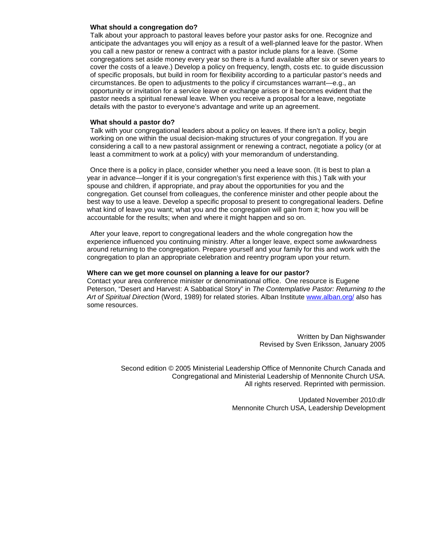## **What should a congregation do?**

Talk about your approach to pastoral leaves before your pastor asks for one. Recognize and anticipate the advantages you will enjoy as a result of a well-planned leave for the pastor. When you call a new pastor or renew a contract with a pastor include plans for a leave. (Some congregations set aside money every year so there is a fund available after six or seven years to cover the costs of a leave.) Develop a policy on frequency, length, costs etc. to guide discussion of specific proposals, but build in room for flexibility according to a particular pastor's needs and circumstances. Be open to adjustments to the policy if circumstances warrant—e.g., an opportunity or invitation for a service leave or exchange arises or it becomes evident that the pastor needs a spiritual renewal leave. When you receive a proposal for a leave, negotiate details with the pastor to everyone's advantage and write up an agreement.

#### **What should a pastor do?**

Talk with your congregational leaders about a policy on leaves. If there isn't a policy, begin working on one within the usual decision-making structures of your congregation. If you are considering a call to a new pastoral assignment or renewing a contract, negotiate a policy (or at least a commitment to work at a policy) with your memorandum of understanding.

Once there is a policy in place, consider whether you need a leave soon. (It is best to plan a year in advance—longer if it is your congregation's first experience with this.) Talk with your spouse and children, if appropriate, and pray about the opportunities for you and the congregation. Get counsel from colleagues, the conference minister and other people about the best way to use a leave. Develop a specific proposal to present to congregational leaders. Define what kind of leave you want; what you and the congregation will gain from it; how you will be accountable for the results; when and where it might happen and so on.

After your leave, report to congregational leaders and the whole congregation how the experience influenced you continuing ministry. After a longer leave, expect some awkwardness around returning to the congregation. Prepare yourself and your family for this and work with the congregation to plan an appropriate celebration and reentry program upon your return.

## **Where can we get more counsel on planning a leave for our pastor?**

Contact your area conference minister or denominational office. One resource is Eugene Peterson, "Desert and Harvest: A Sabbatical Story" in The Contemplative Pastor: Returning to the Art of Spiritual Direction (Word, 1989) for related stories. Alban Institute www.alban.org/ also has some resources.

> Written by Dan Nighswander Revised by Sven Eriksson, January 2005

Second edition © 2005 Ministerial Leadership Office of Mennonite Church Canada and Congregational and Ministerial Leadership of Mennonite Church USA. All rights reserved. Reprinted with permission.

> Updated November 2010:dlr Mennonite Church USA, Leadership Development